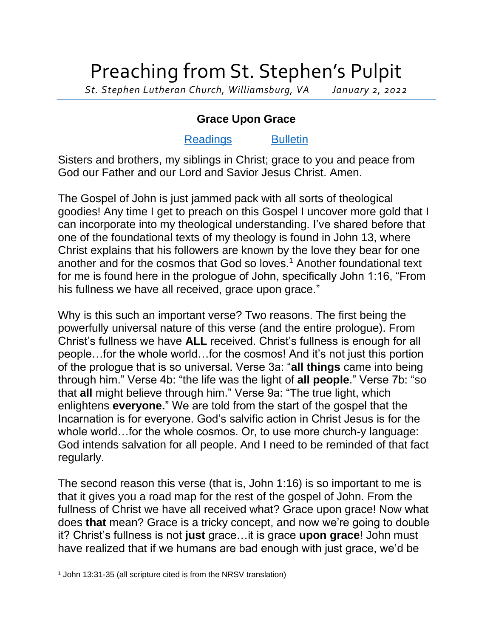## Preaching from St. Stephen's Pulpit

*St. Stephen Lutheran Church, Williamsburg, VA January 2, 2022*

## **Grace Upon Grace**

## [Readings](https://lectionary.library.vanderbilt.edu/texts.php?id=105) [Bulletin](http://www.saintstephenlutheran.net/sunday-bulletins/)

Sisters and brothers, my siblings in Christ; grace to you and peace from God our Father and our Lord and Savior Jesus Christ. Amen.

The Gospel of John is just jammed pack with all sorts of theological goodies! Any time I get to preach on this Gospel I uncover more gold that I can incorporate into my theological understanding. I've shared before that one of the foundational texts of my theology is found in John 13, where Christ explains that his followers are known by the love they bear for one another and for the cosmos that God so loves.<sup>1</sup> Another foundational text for me is found here in the prologue of John, specifically John 1:16, "From his fullness we have all received, grace upon grace."

Why is this such an important verse? Two reasons. The first being the powerfully universal nature of this verse (and the entire prologue). From Christ's fullness we have **ALL** received. Christ's fullness is enough for all people…for the whole world…for the cosmos! And it's not just this portion of the prologue that is so universal. Verse 3a: "**all things** came into being through him." Verse 4b: "the life was the light of **all people**." Verse 7b: "so that **all** might believe through him." Verse 9a: "The true light, which enlightens **everyone.**" We are told from the start of the gospel that the Incarnation is for everyone. God's salvific action in Christ Jesus is for the whole world…for the whole cosmos. Or, to use more church-y language: God intends salvation for all people. And I need to be reminded of that fact regularly.

The second reason this verse (that is, John 1:16) is so important to me is that it gives you a road map for the rest of the gospel of John. From the fullness of Christ we have all received what? Grace upon grace! Now what does **that** mean? Grace is a tricky concept, and now we're going to double it? Christ's fullness is not **just** grace…it is grace **upon grace**! John must have realized that if we humans are bad enough with just grace, we'd be

<sup>1</sup> John 13:31-35 (all scripture cited is from the NRSV translation)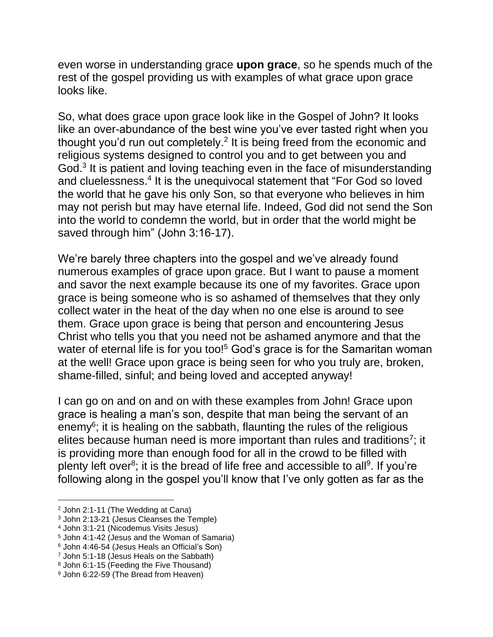even worse in understanding grace **upon grace**, so he spends much of the rest of the gospel providing us with examples of what grace upon grace looks like.

So, what does grace upon grace look like in the Gospel of John? It looks like an over-abundance of the best wine you've ever tasted right when you thought you'd run out completely. $2$  It is being freed from the economic and religious systems designed to control you and to get between you and God.<sup>3</sup> It is patient and loving teaching even in the face of misunderstanding and cluelessness.<sup>4</sup> It is the unequivocal statement that "For God so loved the world that he gave his only Son, so that everyone who believes in him may not perish but may have eternal life. Indeed, God did not send the Son into the world to condemn the world, but in order that the world might be saved through him" (John 3:16-17).

We're barely three chapters into the gospel and we've already found numerous examples of grace upon grace. But I want to pause a moment and savor the next example because its one of my favorites. Grace upon grace is being someone who is so ashamed of themselves that they only collect water in the heat of the day when no one else is around to see them. Grace upon grace is being that person and encountering Jesus Christ who tells you that you need not be ashamed anymore and that the water of eternal life is for you too!<sup>5</sup> God's grace is for the Samaritan woman at the well! Grace upon grace is being seen for who you truly are, broken, shame-filled, sinful; and being loved and accepted anyway!

I can go on and on and on with these examples from John! Grace upon grace is healing a man's son, despite that man being the servant of an enemy<sup>6</sup>; it is healing on the sabbath, flaunting the rules of the religious elites because human need is more important than rules and traditions<sup>7</sup>; it is providing more than enough food for all in the crowd to be filled with plenty left over<sup>8</sup>; it is the bread of life free and accessible to all<sup>9</sup>. If you're following along in the gospel you'll know that I've only gotten as far as the

- <sup>2</sup> John 2:1-11 (The Wedding at Cana)
- <sup>3</sup> John 2:13-21 (Jesus Cleanses the Temple)
- <sup>4</sup> John 3:1-21 (Nicodemus Visits Jesus)

<sup>5</sup> John 4:1-42 (Jesus and the Woman of Samaria)

<sup>6</sup> John 4:46-54 (Jesus Heals an Official's Son)

<sup>7</sup> John 5:1-18 (Jesus Heals on the Sabbath)

<sup>8</sup> John 6:1-15 (Feeding the Five Thousand)

<sup>9</sup> John 6:22-59 (The Bread from Heaven)